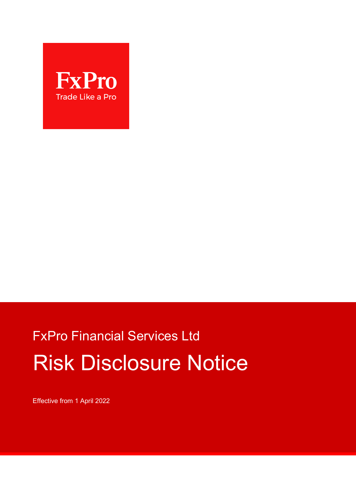

# FxPro Financial Services Ltd Risk Disclosure Notice

Effective from 1 April 2022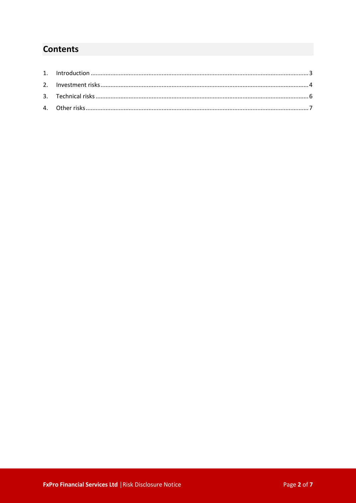## **Contents**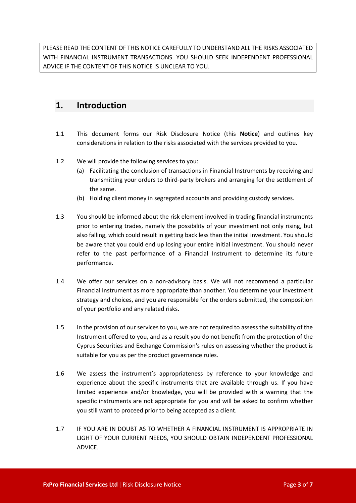PLEASE READ THE CONTENT OF THIS NOTICE CAREFULLY TO UNDERSTAND ALL THE RISKS ASSOCIATED WITH FINANCIAL INSTRUMENT TRANSACTIONS. YOU SHOULD SEEK INDEPENDENT PROFESSIONAL ADVICE IF THE CONTENT OF THIS NOTICE IS UNCLEAR TO YOU.

## <span id="page-2-0"></span>**1. Introduction**

- 1.1 This document forms our Risk Disclosure Notice (this **Notice**) and outlines key considerations in relation to the risks associated with the services provided to you.
- 1.2 We will provide the following services to you:
	- (a) Facilitating the conclusion of transactions in Financial Instruments by receiving and transmitting your orders to third-party brokers and arranging for the settlement of the same.
	- (b) Holding client money in segregated accounts and providing custody services.
- 1.3 You should be informed about the risk element involved in trading financial instruments prior to entering trades, namely the possibility of your investment not only rising, but also falling, which could result in getting back less than the initial investment. You should be aware that you could end up losing your entire initial investment. You should never refer to the past performance of a Financial Instrument to determine its future performance.
- 1.4 We offer our services on a non-advisory basis. We will not recommend a particular Financial Instrument as more appropriate than another. You determine your investment strategy and choices, and you are responsible for the orders submitted, the composition of your portfolio and any related risks.
- 1.5 In the provision of our services to you, we are not required to assess the suitability of the Instrument offered to you, and as a result you do not benefit from the protection of the Cyprus Securities and Exchange Commission's rules on assessing whether the product is suitable for you as per the product governance rules.
- 1.6 We assess the instrument's appropriateness by reference to your knowledge and experience about the specific instruments that are available through us. If you have limited experience and/or knowledge, you will be provided with a warning that the specific instruments are not appropriate for you and will be asked to confirm whether you still want to proceed prior to being accepted as a client.
- 1.7 IF YOU ARE IN DOUBT AS TO WHETHER A FINANCIAL INSTRUMENT IS APPROPRIATE IN LIGHT OF YOUR CURRENT NEEDS, YOU SHOULD OBTAIN INDEPENDENT PROFESSIONAL ADVICE.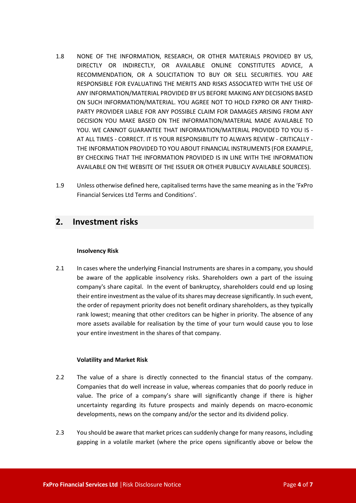- 1.8 NONE OF THE INFORMATION, RESEARCH, OR OTHER MATERIALS PROVIDED BY US, DIRECTLY OR INDIRECTLY, OR AVAILABLE ONLINE CONSTITUTES ADVICE, A RECOMMENDATION, OR A SOLICITATION TO BUY OR SELL SECURITIES. YOU ARE RESPONSIBLE FOR EVALUATING THE MERITS AND RISKS ASSOCIATED WITH THE USE OF ANY INFORMATION/MATERIAL PROVIDED BY US BEFORE MAKING ANY DECISIONS BASED ON SUCH INFORMATION/MATERIAL. YOU AGREE NOT TO HOLD FXPRO OR ANY THIRD-PARTY PROVIDER LIABLE FOR ANY POSSIBLE CLAIM FOR DAMAGES ARISING FROM ANY DECISION YOU MAKE BASED ON THE INFORMATION/MATERIAL MADE AVAILABLE TO YOU. WE CANNOT GUARANTEE THAT INFORMATION/MATERIAL PROVIDED TO YOU IS - AT ALL TIMES - CORRECT. IT IS YOUR RESPONSIBILITY TO ALWAYS REVIEW - CRITICALLY - THE INFORMATION PROVIDED TO YOU ABOUT FINANCIAL INSTRUMENTS (FOR EXAMPLE, BY CHECKING THAT THE INFORMATION PROVIDED IS IN LINE WITH THE INFORMATION AVAILABLE ON THE WEBSITE OF THE ISSUER OR OTHER PUBLICLY AVAILABLE SOURCES).
- 1.9 Unless otherwise defined here, capitalised terms have the same meaning as in the 'FxPro Financial Services Ltd Terms and Conditions'.

## <span id="page-3-0"></span>**2. Investment risks**

#### **Insolvency Risk**

2.1 In cases where the underlying Financial Instruments are shares in a company, you should be aware of the applicable insolvency risks. Shareholders own a part of the issuing company's share capital. In the event of bankruptcy, shareholders could end up losing their entire investment as the value of its shares may decrease significantly. In such event, the order of repayment priority does not benefit ordinary shareholders, as they typically rank lowest; meaning that other creditors can be higher in priority. The absence of any more assets available for realisation by the time of your turn would cause you to lose your entire investment in the shares of that company.

#### **Volatility and Market Risk**

- 2.2 The value of a share is directly connected to the financial status of the company. Companies that do well increase in value, whereas companies that do poorly reduce in value. The price of a company's share will significantly change if there is higher uncertainty regarding its future prospects and mainly depends on macro-economic developments, news on the company and/or the sector and its dividend policy.
- 2.3 You should be aware that market prices can suddenly change for many reasons, including gapping in a volatile market (where the price opens significantly above or below the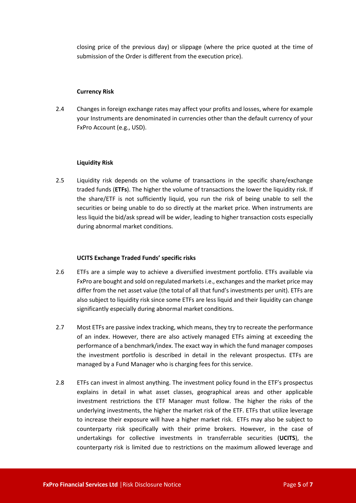closing price of the previous day) or slippage (where the price quoted at the time of submission of the Order is different from the execution price).

#### **Currency Risk**

2.4 Changes in foreign exchange rates may affect your profits and losses, where for example your Instruments are denominated in currencies other than the default currency of your FxPro Account (e.g., USD).

#### **Liquidity Risk**

2.5 Liquidity risk depends on the volume of transactions in the specific share/exchange traded funds (**ETFs**). The higher the volume of transactions the lower the liquidity risk. If the share/ETF is not sufficiently liquid, you run the risk of being unable to sell the securities or being unable to do so directly at the market price. When instruments are less liquid the bid/ask spread will be wider, leading to higher transaction costs especially during abnormal market conditions.

#### **UCITS Exchange Traded Funds' specific risks**

- 2.6 ETFs are a simple way to achieve a diversified investment portfolio. ETFs available via FxPro are bought and sold on regulated markets i.e., exchanges and the market price may differ from the net asset value (the total of all that fund's investments per unit). ETFs are also subject to liquidity risk since some ETFs are less liquid and their liquidity can change significantly especially during abnormal market conditions.
- 2.7 Most ETFs are passive index tracking, which means, they try to recreate the performance of an index. However, there are also actively managed ETFs aiming at exceeding the performance of a benchmark/index. The exact way in which the fund manager composes the investment portfolio is described in detail in the relevant prospectus. ETFs are managed by a Fund Manager who is charging fees for this service.
- 2.8 ETFs can invest in almost anything. The investment policy found in the ETF's prospectus explains in detail in what asset classes, geographical areas and other applicable investment restrictions the ETF Manager must follow. The higher the risks of the underlying investments, the higher the market risk of the ETF. ETFs that utilize leverage to increase their exposure will have a higher market risk. ETFs may also be subject to counterparty risk specifically with their prime brokers. However, in the case of undertakings for collective investments in transferrable securities (**UCITS**), the counterparty risk is limited due to restrictions on the maximum allowed leverage and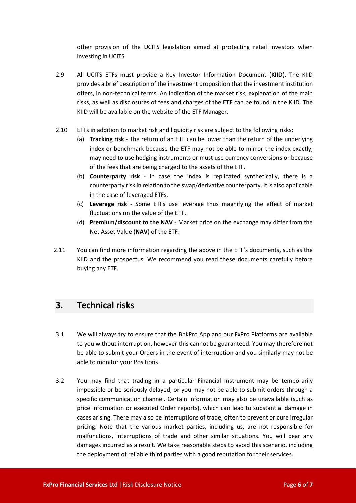other provision of the UCITS legislation aimed at protecting retail investors when investing in UCITS.

- 2.9 All UCITS ETFs must provide a Key Investor Information Document (**KIID**). The KIID provides a brief description of the investment proposition that the investment institution offers, in non-technical terms. An indication of the market risk, explanation of the main risks, as well as disclosures of fees and charges of the ETF can be found in the KIID. The KIID will be available on the website of the ETF Manager.
- 2.10 ETFs in addition to market risk and liquidity risk are subject to the following risks:
	- (a) **Tracking risk** The return of an ETF can be lower than the return of the underlying index or benchmark because the ETF may not be able to mirror the index exactly, may need to use hedging instruments or must use currency conversions or because of the fees that are being charged to the assets of the ETF.
	- (b) **Counterparty risk** In case the index is replicated synthetically, there is a counterparty risk in relation to the swap/derivative counterparty. It is also applicable in the case of leveraged ETFs.
	- (c) **Leverage risk** Some ETFs use leverage thus magnifying the effect of market fluctuations on the value of the ETF.
	- (d) **Premium/discount to the NAV** Market price on the exchange may differ from the Net Asset Value (**NAV**) of the ETF.
- 2.11 You can find more information regarding the above in the ETF's documents, such as the KIID and the prospectus. We recommend you read these documents carefully before buying any ETF.

## <span id="page-5-0"></span>**3. Technical risks**

- 3.1 We will always try to ensure that the BnkPro App and our FxPro Platforms are available to you without interruption, however this cannot be guaranteed. You may therefore not be able to submit your Orders in the event of interruption and you similarly may not be able to monitor your Positions.
- 3.2 You may find that trading in a particular Financial Instrument may be temporarily impossible or be seriously delayed, or you may not be able to submit orders through a specific communication channel. Certain information may also be unavailable (such as price information or executed Order reports), which can lead to substantial damage in cases arising. There may also be interruptions of trade, often to prevent or cure irregular pricing. Note that the various market parties, including us, are not responsible for malfunctions, interruptions of trade and other similar situations. You will bear any damages incurred as a result. We take reasonable steps to avoid this scenario, including the deployment of reliable third parties with a good reputation for their services.